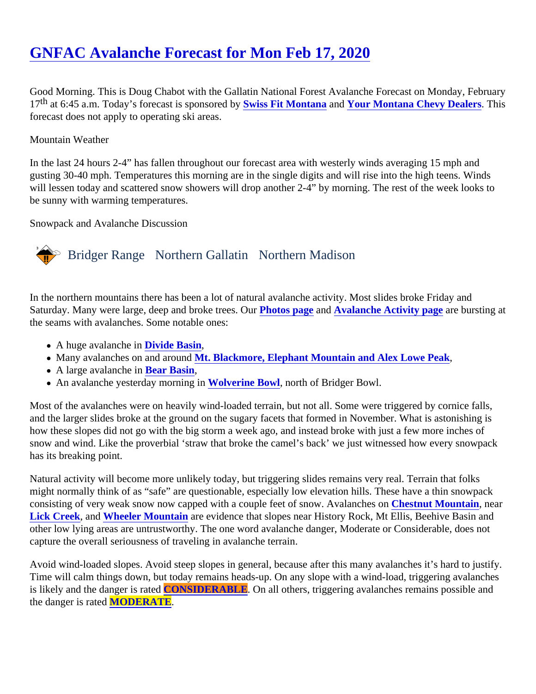# [GNFAC Avalanche Forecast for Mon Feb 17, 202](https://www.mtavalanche.com/forecast/20/02/17)0

Good Morning. This is Doug Chabot with the Gallatin National Forest Avalanche Forecast on Monday, February 17<sup>th</sup> at 6:45 a.m. Today's forecast is sponsore **Stotics** Fit Montana and [Your Montana Chevy Dealers](http://www.montanachevydealers.com/) This forecast does not apply to operating ski areas.

## Mountain Weather

In the last 24 hours 2-4" has fallen throughout our forecast area with westerly winds averaging 15 mph and gusting 30-40 mph. Temperatures this morning are in the single digits and will rise into the high teens. Winds will lessen today and scattered snow showers will drop another 2-4" by morning. The rest of the week looks to be sunny with warming temperatures.

Snowpack and Avalanche Discussion

## Bridger Range Northern Gallatin Northern Madison

In the northern mountains there has been a lot of natural avalanche activity. Most slides broke Friday and Saturday. Many were large, deep and broke trees Poutos page and [Avalanche Activity page](https://www.mtavalanche.com/avalanche-activity) are bursting at the seams with avalanches. Some notable ones:

- A huge avalanche i**Divide Basin**
- Many avalanches on and around Blackmore, Elephant Mountain and Alex Lowe Peak
- A large avalanche i**Bear Basin**
- An avalanche yesterday morning Wolverine Bowl, north of Bridger Bowl.

Most of the avalanches were on heavily wind-loaded terrain, but not all. Some were triggered by cornice falls, and the larger slides broke at the ground on the sugary facets that formed in November. What is astonishing how these slopes did not go with the big storm a week ago, and instead broke with just a few more inches of snow and wind. Like the proverbial 'straw that broke the camel's back' we just witnessed how every snowpack has its breaking point.

Natural activity will become more unlikely today, but triggering slides remains very real. Terrain that folks might normally think of as "safe" are questionable, especially low elevation hills. These have a thin snowpack consisting of very weak snow now capped with a couple feet of snow. Avalancoles sinut Mountain, near [Lick Creek,](https://www.mtavalanche.com/node/22071) an[d Wheeler Mountain](https://www.mtavalanche.com/node/22082) are evidence that slopes near History Rock, Mt Ellis, Beehive Basin and other low lying areas are untrustworthy. The one word avalanche danger, Moderate or Considerable, does no capture the overall seriousness of traveling in avalanche terrain.

Avoid wind-loaded slopes. Avoid steep slopes in general, because after this many avalanches it's hard to just Time will calm things down, but today remains heads-up. On any slope with a wind-load, triggering avalanches is likely and the danger is ratCONSIDERABLE. On all others, triggering avalanches remains possible and the danger is rateMODERATE.